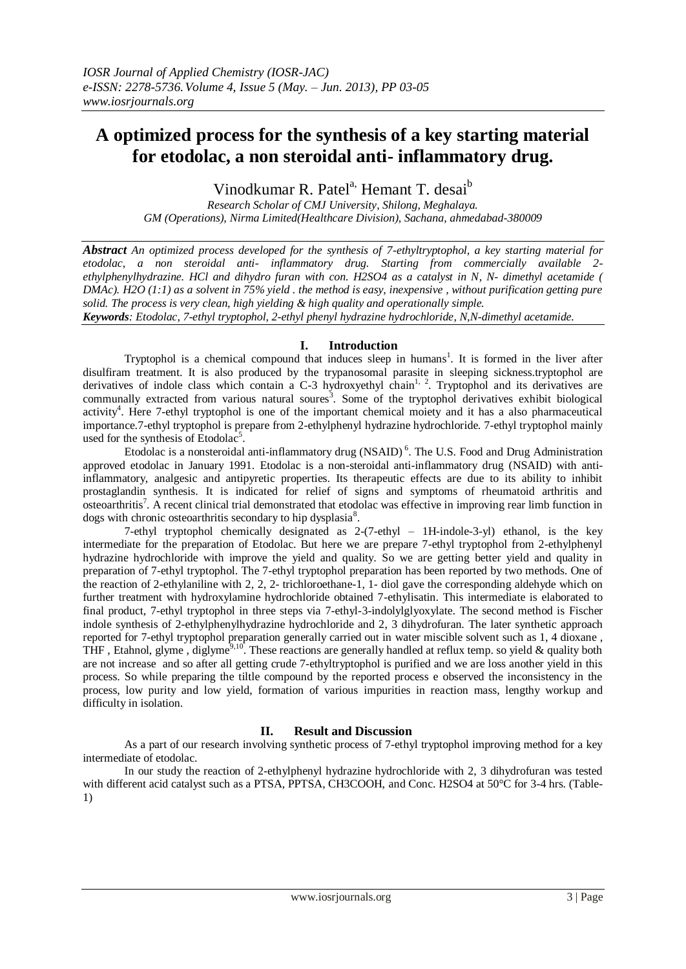# **A optimized process for the synthesis of a key starting material for etodolac, a non steroidal anti- inflammatory drug.**

Vinodkumar R. Patel<sup>a,</sup> Hemant T. desai<sup>b</sup>

*Research Scholar of CMJ University, Shilong, Meghalaya. GM (Operations), Nirma Limited(Healthcare Division), Sachana, ahmedabad-380009*

*Abstract An optimized process developed for the synthesis of 7-ethyltryptophol, a key starting material for etodolac, a non steroidal anti- inflammatory drug. Starting from commercially available 2 ethylphenylhydrazine. HCl and dihydro furan with con. H2SO4 as a catalyst in N, N- dimethyl acetamide ( DMAc). H2O (1:1) as a solvent in 75% yield . the method is easy, inexpensive , without purification getting pure solid. The process is very clean, high yielding & high quality and operationally simple.*

*Keywords: Etodolac, 7-ethyl tryptophol, 2-ethyl phenyl hydrazine hydrochloride, N,N-dimethyl acetamide.*

## **I. Introduction**

Tryptophol is a chemical compound that induces sleep in humans<sup>1</sup>. It is formed in the liver after [disulfiram](http://en.wikipedia.org/wiki/Disulfiram) treatment. It is also produced by the trypanosomal parasite in [sleeping sickness.](http://en.wikipedia.org/wiki/African_trypanosomiasis)tryptophol are derivatives of indole class which contain a C-3 hydroxyethyl chain<sup>1, 2</sup>. Tryptophol and its derivatives are communally extracted from various natural soures<sup>3</sup>. Some of the tryptophol derivatives exhibit biological activity<sup>4</sup>. Here 7-ethyl tryptophol is one of the important chemical moiety and it has a also pharmaceutical importance.7-ethyl tryptophol is prepare from 2-ethylphenyl hydrazine hydrochloride. 7-ethyl tryptophol mainly used for the synthesis of Etodolac<sup>5</sup>.

Etodolac is a nonsteroidal anti-inflammatory drug [\(NSAID\)](http://en.wikipedia.org/wiki/NSAID)<sup>6</sup>. The U.S. [Food and Drug Administration](http://en.wikipedia.org/wiki/Food_and_Drug_Administration) approved etodolac in January 1991. Etodolac is a non-steroidal anti-inflammatory drug (NSAID) with antiinflammatory, analgesic and antipyretic properties. Its therapeutic effects are due to its ability to inhibit prostaglandin synthesis. It is indicated for relief of signs and symptoms of rheumatoid arthritis and osteoarthritis<sup>7</sup>. A recent clinical trial demonstrated that etodolac was effective in improving rear limb function in dogs with chronic osteoarthritis secondary to hip dysplasia<sup>8</sup>.

7-ethyl tryptophol chemically designated as 2-(7-ethyl – 1H-indole-3-yl) ethanol, is the key intermediate for the preparation of Etodolac. But here we are prepare 7-ethyl tryptophol from 2-ethylphenyl hydrazine hydrochloride with improve the yield and quality. So we are getting better yield and quality in preparation of 7-ethyl tryptophol. The 7-ethyl tryptophol preparation has been reported by two methods. One of the reaction of 2-ethylaniline with 2, 2, 2- trichloroethane-1, 1- diol gave the corresponding aldehyde which on further treatment with hydroxylamine hydrochloride obtained 7-ethylisatin. This intermediate is elaborated to final product, 7-ethyl tryptophol in three steps via 7-ethyl-3-indolylglyoxylate. The second method is Fischer indole synthesis of 2-ethylphenylhydrazine hydrochloride and 2, 3 dihydrofuran. The later synthetic approach reported for 7-ethyl tryptophol preparation generally carried out in water miscible solvent such as 1, 4 dioxane , THF, Etahnol, glyme, diglyme<sup>9,10</sup>. These reactions are generally handled at reflux temp. so yield  $\&$  quality both are not increase and so after all getting crude 7-ethyltryptophol is purified and we are loss another yield in this process. So while preparing the tiltle compound by the reported process e observed the inconsistency in the process, low purity and low yield, formation of various impurities in reaction mass, lengthy workup and difficulty in isolation.

## **II. Result and Discussion**

As a part of our research involving synthetic process of 7-ethyl tryptophol improving method for a key intermediate of etodolac.

In our study the reaction of 2-ethylphenyl hydrazine hydrochloride with 2, 3 dihydrofuran was tested with different acid catalyst such as a PTSA, PPTSA, CH3COOH, and Conc. H2SO4 at 50°C for 3-4 hrs. (Table-1)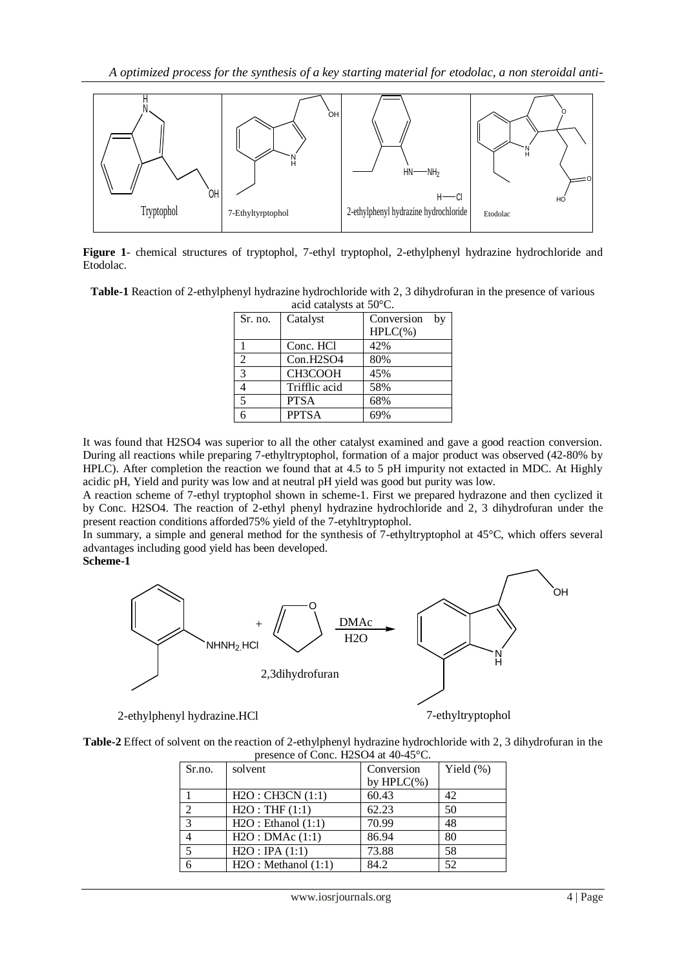

**Figure 1**- chemical structures of tryptophol, 7-ethyl tryptophol, 2-ethylphenyl hydrazine hydrochloride and Etodolac.

**Table-1** Reaction of 2-ethylphenyl hydrazine hydrochloride with 2, 3 dihydrofuran in the presence of various acid catalysts at 50°C.

| $\alpha$ active value yous at $\beta\sigma \sim \beta$ . |                                    |                  |  |  |
|----------------------------------------------------------|------------------------------------|------------------|--|--|
| Sr. no.                                                  | Catalyst                           | Conversion<br>by |  |  |
|                                                          |                                    | $HPLC(\% )$      |  |  |
|                                                          | Conc. HCl                          | 42%              |  |  |
| 2                                                        | Con.H <sub>2</sub> SO <sub>4</sub> | 80%              |  |  |
| 3                                                        | CH3COOH                            | 45%              |  |  |
| 4                                                        | Trifflic acid                      | 58%              |  |  |
| 5                                                        | <b>PTSA</b>                        | 68%              |  |  |
| R                                                        | <b>PPTSA</b>                       |                  |  |  |

It was found that H2SO4 was superior to all the other catalyst examined and gave a good reaction conversion. During all reactions while preparing 7-ethyltryptophol, formation of a major product was observed (42-80% by HPLC). After completion the reaction we found that at 4.5 to 5 pH impurity not extacted in MDC. At Highly acidic pH, Yield and purity was low and at neutral pH yield was good but purity was low.

A reaction scheme of 7-ethyl tryptophol shown in scheme-1. First we prepared hydrazone and then cyclized it by Conc. H2SO4. The reaction of 2-ethyl phenyl hydrazine hydrochloride and 2, 3 dihydrofuran under the present reaction conditions afforded75% yield of the 7-etyhltryptophol.

In summary, a simple and general method for the synthesis of 7-ethyltryptophol at 45°C, which offers several advantages including good yield has been developed.

**Scheme-1**



2-ethylphenyl hydrazine.HCl 7-ethyltryptophol

**Table-2** Effect of solvent on the reaction of 2-ethylphenyl hydrazine hydrochloride with 2, 3 dihydrofuran in the presence of Conc. H2SO4 at 40-45°C.

| Sr.no. | solvent             | Conversion<br>by $HPLC(\% )$ | Yield $(\%)$ |
|--------|---------------------|------------------------------|--------------|
|        | H2O: CH3CN (1:1)    | 60.43                        | 42           |
| ↑      | H2O:THF(1:1)        | 62.23                        | 50           |
| 3      | H2O: Ethanol (1:1)  | 70.99                        | 48           |
|        | H2O:DMAc(1:1)       | 86.94                        | 80           |
| 5      | H2O: IPA(1:1)       | 73.88                        | 58           |
|        | H2O: Methanol (1:1) | 84.2                         | 52           |